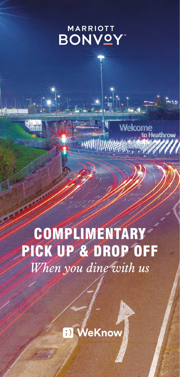### **MARRIOTT BONVOY**

Welcome

leathrow

## COMPLIMENTARY PICK UP & DROP OFF *When you dine with us*

**HIMIII** 

**D** WeKnow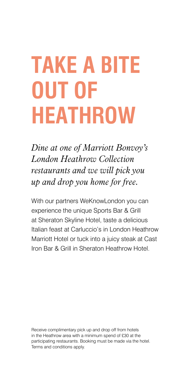# **TAKE A BITE OUT OF HEATHROW**

*Dine at one of Marriott Bonvoy's London Heathrow Collection restaurants and we will pick you up and drop you home for free.*

With our partners WeKnowLondon you can experience the unique Sports Bar & Grill [at Sheraton Skyline Hotel, taste a delicio](https://www.marriott.com/hotels/hotel-information/restaurant/details/lhrss-sheraton-skyline-hotel-london-heathrow/5958306/)us Italian feast at [Carluccio's in London Heathrow](https://www.carluccios.com/restaurants/london-marriott-heathrow/)  [Marriott Hotel](https://www.carluccios.com/restaurants/london-marriott-heathrow/) or tuck into a juicy steak at [Cast](https://www.marriott.com/hotels/hotel-information/restaurant/lhrsi-sheraton-heathrow-hotel/) [Iron Bar & Grill in Sheraton Heathrow Hotel](https://www.marriott.com/hotels/hotel-information/restaurant/lhrsi-sheraton-heathrow-hotel/).

Receive complimentary pick up and drop off from hotels in the Heathrow area with a minimum spend of £30 at the participating restaurants. Booking must be made via the hotel. Terms and conditions apply.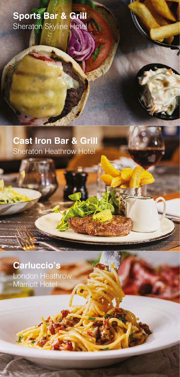**[Sports Bar & Grill](https://www.marriott.com/hotels/hotel-information/restaurant/details/lhrss-sheraton-skyline-hotel-london-heathrow/5958306/)** Sheraton Skyline Hotel

**[Cast Iron Bar & Grill](https://www.marriott.com/hotels/hotel-information/restaurant/lhrsi-sheraton-heathrow-hotel/)** Sheraton Heathrow Hotel

**[Carluccio's](https://www.carluccios.com/restaurants/london-marriott-heathrow/)** London Heathrow Marriott Hotel

RICA